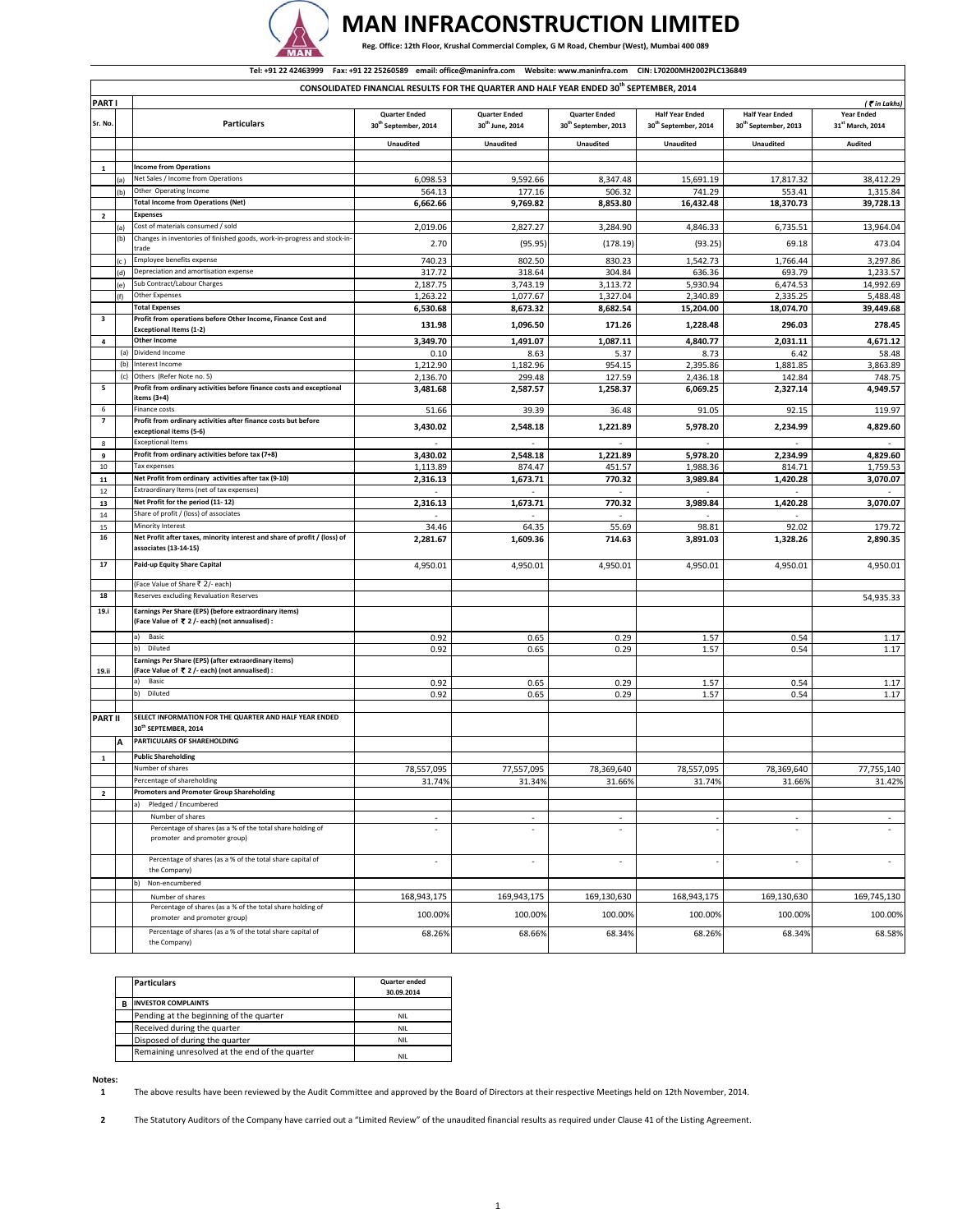

## **MAN INFRACONSTRUCTION LIMITED**

Reg. Office: 12th Floor, Krushal Commercial Complex, G M Road, Chembur (West), Mumbai 400 089

|                         | Tel: +91 22 42463999  Fax: +91 22 25260589  email: office@maninfra.com  Website: www.maninfra.com  CIN: L70200MH2002PLC136849 |                                                                                                         |                                                          |                                                     |                                                          |                                                            |                                                            |                                                   |
|-------------------------|-------------------------------------------------------------------------------------------------------------------------------|---------------------------------------------------------------------------------------------------------|----------------------------------------------------------|-----------------------------------------------------|----------------------------------------------------------|------------------------------------------------------------|------------------------------------------------------------|---------------------------------------------------|
|                         | CONSOLIDATED FINANCIAL RESULTS FOR THE QUARTER AND HALF YEAR ENDED 30th SEPTEMBER, 2014                                       |                                                                                                         |                                                          |                                                     |                                                          |                                                            |                                                            |                                                   |
| <b>PART</b>             |                                                                                                                               |                                                                                                         |                                                          |                                                     |                                                          |                                                            |                                                            | (₹in Lakhs)                                       |
| Sr. No.                 |                                                                                                                               | <b>Particulars</b>                                                                                      | <b>Quarter Ended</b><br>30 <sup>th</sup> September, 2014 | <b>Quarter Ended</b><br>30 <sup>th</sup> June, 2014 | <b>Quarter Ended</b><br>30 <sup>th</sup> September, 2013 | <b>Half Year Ended</b><br>30 <sup>th</sup> September, 2014 | <b>Half Year Ended</b><br>30 <sup>th</sup> September, 2013 | <b>Year Ended</b><br>31 <sup>st</sup> March, 2014 |
|                         |                                                                                                                               |                                                                                                         | <b>Unaudited</b>                                         | <b>Unaudited</b>                                    | <b>Unaudited</b>                                         | <b>Unaudited</b>                                           | <b>Unaudited</b>                                           | Audited                                           |
|                         |                                                                                                                               |                                                                                                         |                                                          |                                                     |                                                          |                                                            |                                                            |                                                   |
| $\mathbf 1$             |                                                                                                                               | <b>Income from Operations</b>                                                                           |                                                          |                                                     |                                                          |                                                            |                                                            |                                                   |
|                         | (a)                                                                                                                           | Net Sales / Income from Operations<br>Other Operating Income                                            | 6,098.53                                                 | 9,592.66                                            | 8,347.48                                                 | 15,691.19                                                  | 17,817.32                                                  | 38,412.29                                         |
|                         | b                                                                                                                             | <b>Total Income from Operations (Net)</b>                                                               | 564.13<br>6,662.66                                       | 177.16<br>9,769.82                                  | 506.32<br>8,853.80                                       | 741.29<br>16,432.48                                        | 553.41<br>18,370.73                                        | 1,315.84<br>39,728.13                             |
| $\mathbf{2}$            |                                                                                                                               | <b>Expenses</b>                                                                                         |                                                          |                                                     |                                                          |                                                            |                                                            |                                                   |
|                         | (a)                                                                                                                           | Cost of materials consumed / sold                                                                       | 2,019.06                                                 | 2,827.27                                            | 3,284.90                                                 | 4,846.33                                                   | 6,735.51                                                   | 13,964.04                                         |
|                         | (b)                                                                                                                           | Changes in inventories of finished goods, work-in-progress and stock-in<br>trade                        | 2.70                                                     | (95.95)                                             | (178.19)                                                 | (93.25)                                                    | 69.18                                                      | 473.04                                            |
|                         |                                                                                                                               | Employee benefits expense                                                                               | 740.23                                                   | 802.50                                              | 830.23                                                   | 1,542.73                                                   | 1,766.44                                                   | 3,297.86                                          |
|                         | (d)                                                                                                                           | Depreciation and amortisation expense                                                                   | 317.72                                                   | 318.64                                              | 304.84                                                   | 636.36                                                     | 693.79                                                     | 1,233.57                                          |
|                         | (e)                                                                                                                           | Sub Contract/Labour Charges                                                                             | 2,187.75                                                 | 3,743.19                                            | 3,113.72                                                 | 5,930.94                                                   | 6,474.53                                                   | 14,992.69                                         |
|                         |                                                                                                                               | Other Expenses<br><b>Total Expenses</b>                                                                 | 1,263.22                                                 | 1,077.67                                            | 1,327.04                                                 | 2,340.89                                                   | 2,335.25                                                   | 5,488.48                                          |
| 3                       |                                                                                                                               | Profit from operations before Other Income, Finance Cost and                                            | 6,530.68                                                 | 8,673.32                                            | 8,682.54                                                 | 15,204.00                                                  | 18,074.70                                                  | 39,449.68                                         |
|                         |                                                                                                                               | <b>Exceptional Items (1-2)</b>                                                                          | 131.98                                                   | 1,096.50                                            | 171.26                                                   | 1,228.48                                                   | 296.03                                                     | 278.45                                            |
| $\overline{a}$          |                                                                                                                               | <b>Other Income</b>                                                                                     | 3,349.70                                                 | 1,491.07                                            | 1,087.11                                                 | 4,840.77                                                   | 2,031.11                                                   | 4,671.12                                          |
|                         |                                                                                                                               | (a) Dividend Income                                                                                     | 0.10                                                     | 8.63                                                | 5.37                                                     | 8.73                                                       | 6.42                                                       | 58.48                                             |
|                         | (b)                                                                                                                           | Interest Income                                                                                         | 1,212.90                                                 | 1,182.96                                            | 954.15                                                   | 2,395.86                                                   | 1,881.85                                                   | 3,863.89                                          |
|                         | (c)                                                                                                                           | Others (Refer Note no. 5)                                                                               | 2,136.70                                                 | 299.48                                              | 127.59                                                   | 2,436.18                                                   | 142.84                                                     | 748.75                                            |
| 5                       |                                                                                                                               | Profit from ordinary activities before finance costs and exceptional<br>items (3+4)                     | 3,481.68                                                 | 2,587.57                                            | 1,258.37                                                 | 6,069.25                                                   | 2,327.14                                                   | 4,949.57                                          |
| 6                       |                                                                                                                               | <b>Finance costs</b>                                                                                    | 51.66                                                    | 39.39                                               | 36.48                                                    | 91.05                                                      | 92.15                                                      | 119.97                                            |
| 7                       |                                                                                                                               | Profit from ordinary activities after finance costs but before<br>exceptional items (5-6)               | 3,430.02                                                 | 2,548.18                                            | 1,221.89                                                 | 5,978.20                                                   | 2,234.99                                                   | 4,829.60                                          |
| 8                       |                                                                                                                               | <b>Exceptional Items</b>                                                                                |                                                          |                                                     |                                                          |                                                            |                                                            |                                                   |
| 9<br>$10\,$             |                                                                                                                               | Profit from ordinary activities before tax (7+8)<br>Tax expenses                                        | 3,430.02                                                 | 2,548.18                                            | 1,221.89                                                 | 5,978.20                                                   | 2,234.99                                                   | 4,829.60                                          |
| ${\bf 11}$              |                                                                                                                               | Net Profit from ordinary activities after tax (9-10)                                                    | 1,113.89<br>2,316.13                                     | 874.47<br>1,673.71                                  | 451.57<br>770.32                                         | 1,988.36<br>3,989.84                                       | 814.71<br>1,420.28                                         | 1,759.53<br>3,070.07                              |
| 12                      |                                                                                                                               | Extraordinary Items (net of tax expenses)                                                               |                                                          |                                                     |                                                          |                                                            |                                                            |                                                   |
| 13                      |                                                                                                                               | Net Profit for the period (11-12)                                                                       | 2,316.13                                                 | 1,673.71                                            | 770.32                                                   | 3,989.84                                                   | 1,420.28                                                   | 3,070.07                                          |
| 14                      |                                                                                                                               | Share of profit / (loss) of associates                                                                  | $\sim$                                                   | $\sim$                                              | $\sim$                                                   | ÷                                                          | $\sim$                                                     |                                                   |
| 15                      |                                                                                                                               | Minority Interest                                                                                       | 34.46                                                    | 64.35                                               | 55.69                                                    | 98.81                                                      | 92.02                                                      | 179.72                                            |
| 16                      |                                                                                                                               | Net Profit after taxes, minority interest and share of profit / (loss) of<br>associates (13-14-15)      | 2,281.67                                                 | 1,609.36                                            | 714.63                                                   | 3,891.03                                                   | 1,328.26                                                   | 2,890.35                                          |
| 17                      |                                                                                                                               | Paid-up Equity Share Capital                                                                            | 4,950.01                                                 | 4,950.01                                            | 4,950.01                                                 | 4,950.01                                                   | 4,950.01                                                   | 4,950.01                                          |
|                         |                                                                                                                               | (Face Value of Share ₹ 2/- each)                                                                        |                                                          |                                                     |                                                          |                                                            |                                                            |                                                   |
| 18                      |                                                                                                                               | Reserves excluding Revaluation Reserves                                                                 |                                                          |                                                     |                                                          |                                                            |                                                            | 54,935.33                                         |
| 19.i                    |                                                                                                                               | Earnings Per Share (EPS) (before extraordinary items)<br>(Face Value of ₹ 2 /- each) (not annualised) : |                                                          |                                                     |                                                          |                                                            |                                                            |                                                   |
|                         |                                                                                                                               | a)<br>Basic                                                                                             | 0.92                                                     | 0.65                                                | 0.29                                                     | 1.57                                                       | 0.54                                                       | 1.17                                              |
|                         |                                                                                                                               | Diluted<br>b)                                                                                           | 0.92                                                     | 0.65                                                | 0.29                                                     | 1.57                                                       | 0.54                                                       | 1.17                                              |
| 19.ii                   |                                                                                                                               | Earnings Per Share (EPS) (after extraordinary items)<br>(Face Value of ₹ 2 /- each) (not annualised) :  |                                                          |                                                     |                                                          |                                                            |                                                            |                                                   |
|                         |                                                                                                                               | Basic<br>a)                                                                                             | 0.92                                                     | 0.65                                                | 0.29                                                     | 1.57                                                       | 0.54                                                       | 1.17                                              |
|                         |                                                                                                                               | Diluted<br>b)                                                                                           | 0.92                                                     | 0.65                                                | 0.29                                                     | 1.57                                                       | 0.54                                                       | 1.17                                              |
| <b>PART II</b>          |                                                                                                                               | SELECT INFORMATION FOR THE QUARTER AND HALF YEAR ENDED                                                  |                                                          |                                                     |                                                          |                                                            |                                                            |                                                   |
|                         |                                                                                                                               | 30th SEPTEMBER, 2014<br>PARTICULARS OF SHAREHOLDING                                                     |                                                          |                                                     |                                                          |                                                            |                                                            |                                                   |
|                         | А                                                                                                                             |                                                                                                         |                                                          |                                                     |                                                          |                                                            |                                                            |                                                   |
| $\mathbf 1$             |                                                                                                                               | <b>Public Shareholding</b>                                                                              |                                                          |                                                     |                                                          |                                                            |                                                            |                                                   |
|                         |                                                                                                                               | Number of shares<br>Percentage of shareholding                                                          | 78,557,095                                               | 77,557,095                                          | 78,369,640                                               | 78,557,095                                                 | 78,369,640                                                 | 77,755,140                                        |
| $\overline{\mathbf{2}}$ |                                                                                                                               | <b>Promoters and Promoter Group Shareholding</b>                                                        | 31.74%                                                   | 31.34%                                              | 31.66%                                                   | 31.74%                                                     | 31.66%                                                     | 31.42%                                            |
|                         |                                                                                                                               | Pledged / Encumbered                                                                                    |                                                          |                                                     |                                                          |                                                            |                                                            |                                                   |
|                         |                                                                                                                               | Number of shares                                                                                        |                                                          |                                                     |                                                          |                                                            |                                                            |                                                   |
|                         |                                                                                                                               | Percentage of shares (as a % of the total share holding of<br>promoter and promoter group)              | ٠                                                        |                                                     | $\overline{\phantom{a}}$                                 |                                                            | ä,                                                         |                                                   |
|                         |                                                                                                                               | Percentage of shares (as a % of the total share capital of<br>the Company)                              | ٠                                                        |                                                     |                                                          |                                                            | ä,                                                         | ٠                                                 |
|                         |                                                                                                                               | Non-encumbered<br>b)                                                                                    |                                                          |                                                     |                                                          |                                                            |                                                            |                                                   |
|                         |                                                                                                                               | Number of shares<br>Percentage of shares (as a % of the total share holding of                          | 168,943,175                                              | 169,943,175                                         | 169,130,630                                              | 168,943,175                                                | 169,130,630                                                | 169,745,130                                       |
|                         |                                                                                                                               | promoter and promoter group)                                                                            | 100.00%                                                  | 100.00%                                             | 100.00%                                                  | 100.00%                                                    | 100.00%                                                    | 100.00%                                           |
|                         |                                                                                                                               | Percentage of shares (as a % of the total share capital of<br>the Company)                              | 68.26%                                                   | 68.66%                                              | 68.34%                                                   | 68.26%                                                     | 68.34%                                                     | 68.58%                                            |

|   | <b>Particulars</b>                             | <b>Quarter ended</b><br>30.09.2014 |
|---|------------------------------------------------|------------------------------------|
| R | <b>INVESTOR COMPLAINTS</b>                     |                                    |
|   | Pending at the beginning of the quarter        | NII                                |
|   | Received during the quarter                    | NII                                |
|   | Disposed of during the quarter                 | NII                                |
|   | Remaining unresolved at the end of the quarter | NII                                |

**Notes: 1**

The above results have been reviewed by the Audit Committee and approved by the Board of Directors at their respective Meetings held on 12th November, 2014.

**2** The Statutory Auditors of the Company have carried out a "Limited Review" of the unaudited financial results as required under Clause 41 of the Listing Agreement.